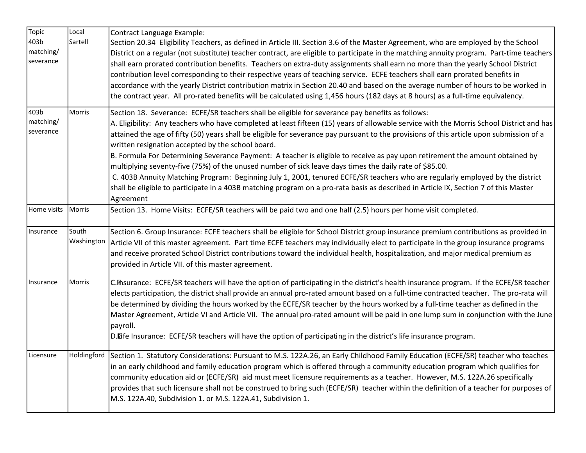| <b>Topic</b>                   | Local               | <b>Contract Language Example:</b>                                                                                                                                                                                                                                                                                                                                                                                                                                                                                                                                                                                                                                                                                                                                                                                                                                                                                                                                              |
|--------------------------------|---------------------|--------------------------------------------------------------------------------------------------------------------------------------------------------------------------------------------------------------------------------------------------------------------------------------------------------------------------------------------------------------------------------------------------------------------------------------------------------------------------------------------------------------------------------------------------------------------------------------------------------------------------------------------------------------------------------------------------------------------------------------------------------------------------------------------------------------------------------------------------------------------------------------------------------------------------------------------------------------------------------|
| 403b<br>matching/<br>severance | Sartell             | Section 20.34 Eligibility Teachers, as defined in Article III. Section 3.6 of the Master Agreement, who are employed by the School<br>District on a regular (not substitute) teacher contract, are eligible to participate in the matching annuity program. Part-time teachers<br>shall earn prorated contribution benefits. Teachers on extra-duty assignments shall earn no more than the yearly School District<br>contribution level corresponding to their respective years of teaching service. ECFE teachers shall earn prorated benefits in<br>accordance with the yearly District contribution matrix in Section 20.40 and based on the average number of hours to be worked in<br>the contract year. All pro-rated benefits will be calculated using 1,456 hours (182 days at 8 hours) as a full-time equivalency.                                                                                                                                                   |
| 403b<br>matching/<br>severance | Morris              | Section 18. Severance: ECFE/SR teachers shall be eligible for severance pay benefits as follows:<br>A. Eligibility: Any teachers who have completed at least fifteen (15) years of allowable service with the Morris School District and has<br>attained the age of fifty (50) years shall be eligible for severance pay pursuant to the provisions of this article upon submission of a<br>written resignation accepted by the school board.<br>B. Formula For Determining Severance Payment: A teacher is eligible to receive as pay upon retirement the amount obtained by<br>multiplying seventy-five (75%) of the unused number of sick leave days times the daily rate of \$85.00.<br>C. 403B Annuity Matching Program: Beginning July 1, 2001, tenured ECFE/SR teachers who are regularly employed by the district<br>shall be eligible to participate in a 403B matching program on a pro-rata basis as described in Article IX, Section 7 of this Master<br>Agreement |
| Home visits                    | Morris              | Section 13. Home Visits: ECFE/SR teachers will be paid two and one half (2.5) hours per home visit completed.                                                                                                                                                                                                                                                                                                                                                                                                                                                                                                                                                                                                                                                                                                                                                                                                                                                                  |
| Insurance                      | South<br>Washington | Section 6. Group Insurance: ECFE teachers shall be eligible for School District group insurance premium contributions as provided in<br>Article VII of this master agreement. Part time ECFE teachers may individually elect to participate in the group insurance programs<br>and receive prorated School District contributions toward the individual health, hospitalization, and major medical premium as<br>provided in Article VII. of this master agreement.                                                                                                                                                                                                                                                                                                                                                                                                                                                                                                            |
| Insurance                      | <b>Morris</b>       | C. Insurance: ECFE/SR teachers will have the option of participating in the district's health insurance program. If the ECFE/SR teacher<br>elects participation, the district shall provide an annual pro-rated amount based on a full-time contracted teacher. The pro-rata will<br>be determined by dividing the hours worked by the ECFE/SR teacher by the hours worked by a full-time teacher as defined in the<br>Master Agreement, Article VI and Article VII. The annual pro-rated amount will be paid in one lump sum in conjunction with the June<br>payroll.<br>D. Eife Insurance: ECFE/SR teachers will have the option of participating in the district's life insurance program.                                                                                                                                                                                                                                                                                  |
| Licensure                      | Holdingford         | Section 1. Statutory Considerations: Pursuant to M.S. 122A.26, an Early Childhood Family Education (ECFE/SR) teacher who teaches<br>in an early childhood and family education program which is offered through a community education program which qualifies for<br>community education aid or (ECFE/SR) aid must meet licensure requirements as a teacher. However, M.S. 122A.26 specifically<br>provides that such licensure shall not be construed to bring such (ECFE/SR) teacher within the definition of a teacher for purposes of<br>M.S. 122A.40, Subdivision 1. or M.S. 122A.41, Subdivision 1.                                                                                                                                                                                                                                                                                                                                                                      |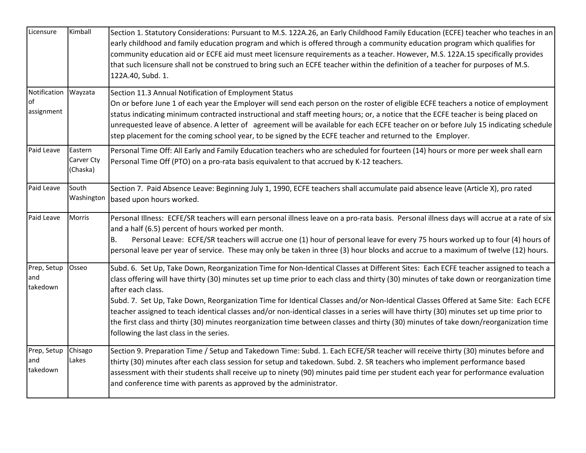| Licensure                                | Kimball                           | Section 1. Statutory Considerations: Pursuant to M.S. 122A.26, an Early Childhood Family Education (ECFE) teacher who teaches in an<br>early childhood and family education program and which is offered through a community education program which qualifies for<br>community education aid or ECFE aid must meet licensure requirements as a teacher. However, M.S. 122A.15 specifically provides<br>that such licensure shall not be construed to bring such an ECFE teacher within the definition of a teacher for purposes of M.S.<br>122A.40, Subd. 1.                                                                                                                                                                                                            |
|------------------------------------------|-----------------------------------|--------------------------------------------------------------------------------------------------------------------------------------------------------------------------------------------------------------------------------------------------------------------------------------------------------------------------------------------------------------------------------------------------------------------------------------------------------------------------------------------------------------------------------------------------------------------------------------------------------------------------------------------------------------------------------------------------------------------------------------------------------------------------|
| Notification Wayzata<br>of<br>assignment |                                   | Section 11.3 Annual Notification of Employment Status<br>On or before June 1 of each year the Employer will send each person on the roster of eligible ECFE teachers a notice of employment<br>status indicating minimum contracted instructional and staff meeting hours; or, a notice that the ECFE teacher is being placed on<br>unrequested leave of absence. A letter of agreement will be available for each ECFE teacher on or before July 15 indicating schedule<br>step placement for the coming school year, to be signed by the ECFE teacher and returned to the Employer.                                                                                                                                                                                    |
| Paid Leave                               | Eastern<br>Carver Cty<br>(Chaska) | Personal Time Off: All Early and Family Education teachers who are scheduled for fourteen (14) hours or more per week shall earn<br>Personal Time Off (PTO) on a pro-rata basis equivalent to that accrued by K-12 teachers.                                                                                                                                                                                                                                                                                                                                                                                                                                                                                                                                             |
| Paid Leave                               | South<br>Washington               | Section 7. Paid Absence Leave: Beginning July 1, 1990, ECFE teachers shall accumulate paid absence leave (Article X), pro rated<br>based upon hours worked.                                                                                                                                                                                                                                                                                                                                                                                                                                                                                                                                                                                                              |
| Paid Leave                               | Morris                            | Personal Illness: ECFE/SR teachers will earn personal illness leave on a pro-rata basis. Personal illness days will accrue at a rate of six<br>and a half (6.5) percent of hours worked per month.<br>Personal Leave: ECFE/SR teachers will accrue one (1) hour of personal leave for every 75 hours worked up to four (4) hours of<br>В.<br>personal leave per year of service. These may only be taken in three (3) hour blocks and accrue to a maximum of twelve (12) hours.                                                                                                                                                                                                                                                                                          |
| Prep, Setup<br>and<br>takedown           | Osseo                             | Subd. 6. Set Up, Take Down, Reorganization Time for Non-Identical Classes at Different Sites: Each ECFE teacher assigned to teach a<br>class offering will have thirty (30) minutes set up time prior to each class and thirty (30) minutes of take down or reorganization time<br>after each class.<br>Subd. 7. Set Up, Take Down, Reorganization Time for Identical Classes and/or Non-Identical Classes Offered at Same Site: Each ECFE<br>teacher assigned to teach identical classes and/or non-identical classes in a series will have thirty (30) minutes set up time prior to<br>the first class and thirty (30) minutes reorganization time between classes and thirty (30) minutes of take down/reorganization time<br>following the last class in the series. |
| Prep, Setup<br>and<br>takedown           | Chisago<br>Lakes                  | Section 9. Preparation Time / Setup and Takedown Time: Subd. 1. Each ECFE/SR teacher will receive thirty (30) minutes before and<br>thirty (30) minutes after each class session for setup and takedown. Subd. 2. SR teachers who implement performance based<br>assessment with their students shall receive up to ninety (90) minutes paid time per student each year for performance evaluation<br>and conference time with parents as approved by the administrator.                                                                                                                                                                                                                                                                                                 |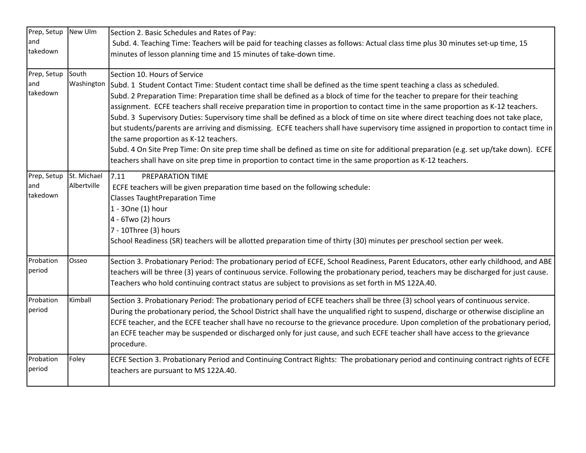| Prep, Setup New Ulm     |             | Section 2. Basic Schedules and Rates of Pay:                                                                                                                                                                                                           |
|-------------------------|-------------|--------------------------------------------------------------------------------------------------------------------------------------------------------------------------------------------------------------------------------------------------------|
| and                     |             | Subd. 4. Teaching Time: Teachers will be paid for teaching classes as follows: Actual class time plus 30 minutes set-up time, 15                                                                                                                       |
| takedown                |             | minutes of lesson planning time and 15 minutes of take-down time.                                                                                                                                                                                      |
| Prep, Setup             | South       | Section 10. Hours of Service                                                                                                                                                                                                                           |
| and<br>takedown         | Washington  | Subd. 1 Student Contact Time: Student contact time shall be defined as the time spent teaching a class as scheduled.                                                                                                                                   |
|                         |             | Subd. 2 Preparation Time: Preparation time shall be defined as a block of time for the teacher to prepare for their teaching                                                                                                                           |
|                         |             | assignment. ECFE teachers shall receive preparation time in proportion to contact time in the same proportion as K-12 teachers.                                                                                                                        |
|                         |             | Subd. 3 Supervisory Duties: Supervisory time shall be defined as a block of time on site where direct teaching does not take place,                                                                                                                    |
|                         |             | but students/parents are arriving and dismissing. ECFE teachers shall have supervisory time assigned in proportion to contact time in                                                                                                                  |
|                         |             | the same proportion as K-12 teachers.                                                                                                                                                                                                                  |
|                         |             | Subd. 4 On Site Prep Time: On site prep time shall be defined as time on site for additional preparation (e.g. set up/take down). ECFE<br>teachers shall have on site prep time in proportion to contact time in the same proportion as K-12 teachers. |
|                         |             |                                                                                                                                                                                                                                                        |
| Prep, Setup St. Michael |             | 7.11<br>PREPARATION TIME                                                                                                                                                                                                                               |
| and                     | Albertville | ECFE teachers will be given preparation time based on the following schedule:                                                                                                                                                                          |
| takedown                |             | <b>Classes TaughtPreparation Time</b>                                                                                                                                                                                                                  |
|                         |             | 1 - 30ne (1) hour                                                                                                                                                                                                                                      |
|                         |             | 4 - 6Two (2) hours                                                                                                                                                                                                                                     |
|                         |             | 7 - 10Three (3) hours                                                                                                                                                                                                                                  |
|                         |             | School Readiness (SR) teachers will be allotted preparation time of thirty (30) minutes per preschool section per week.                                                                                                                                |
| Probation               | Osseo       | Section 3. Probationary Period: The probationary period of ECFE, School Readiness, Parent Educators, other early childhood, and ABE                                                                                                                    |
| period                  |             | teachers will be three (3) years of continuous service. Following the probationary period, teachers may be discharged for just cause.                                                                                                                  |
|                         |             | Teachers who hold continuing contract status are subject to provisions as set forth in MS 122A.40.                                                                                                                                                     |
| Probation               | Kimball     | Section 3. Probationary Period: The probationary period of ECFE teachers shall be three (3) school years of continuous service.                                                                                                                        |
| period                  |             | During the probationary period, the School District shall have the unqualified right to suspend, discharge or otherwise discipline an                                                                                                                  |
|                         |             | ECFE teacher, and the ECFE teacher shall have no recourse to the grievance procedure. Upon completion of the probationary period,                                                                                                                      |
|                         |             | an ECFE teacher may be suspended or discharged only for just cause, and such ECFE teacher shall have access to the grievance<br>procedure.                                                                                                             |
| Probation               | Foley       | ECFE Section 3. Probationary Period and Continuing Contract Rights: The probationary period and continuing contract rights of ECFE                                                                                                                     |
| period                  |             | teachers are pursuant to MS 122A.40.                                                                                                                                                                                                                   |
|                         |             |                                                                                                                                                                                                                                                        |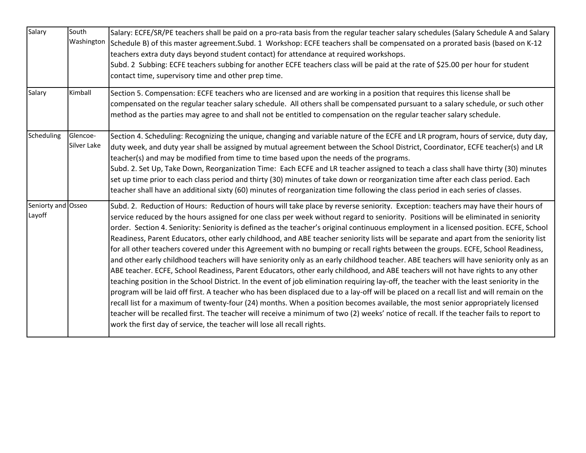| Salary                       | South<br>Washington     | Salary: ECFE/SR/PE teachers shall be paid on a pro-rata basis from the regular teacher salary schedules (Salary Schedule A and Salary<br>Schedule B) of this master agreement. Subd. 1 Workshop: ECFE teachers shall be compensated on a prorated basis (based on K-12<br>teachers extra duty days beyond student contact) for attendance at required workshops.<br>Subd. 2 Subbing: ECFE teachers subbing for another ECFE teachers class will be paid at the rate of \$25.00 per hour for student<br>contact time, supervisory time and other prep time.                                                                                                                                                                                                                                                                                                                                                                                                                                                                                                                                                                                                                                                                                                                                                                                                                                                                                                                                                                                                                                                                       |
|------------------------------|-------------------------|----------------------------------------------------------------------------------------------------------------------------------------------------------------------------------------------------------------------------------------------------------------------------------------------------------------------------------------------------------------------------------------------------------------------------------------------------------------------------------------------------------------------------------------------------------------------------------------------------------------------------------------------------------------------------------------------------------------------------------------------------------------------------------------------------------------------------------------------------------------------------------------------------------------------------------------------------------------------------------------------------------------------------------------------------------------------------------------------------------------------------------------------------------------------------------------------------------------------------------------------------------------------------------------------------------------------------------------------------------------------------------------------------------------------------------------------------------------------------------------------------------------------------------------------------------------------------------------------------------------------------------|
| Salary                       | Kimball                 | Section 5. Compensation: ECFE teachers who are licensed and are working in a position that requires this license shall be<br>compensated on the regular teacher salary schedule. All others shall be compensated pursuant to a salary schedule, or such other<br>method as the parties may agree to and shall not be entitled to compensation on the regular teacher salary schedule.                                                                                                                                                                                                                                                                                                                                                                                                                                                                                                                                                                                                                                                                                                                                                                                                                                                                                                                                                                                                                                                                                                                                                                                                                                            |
| Scheduling                   | Glencoe-<br>Silver Lake | Section 4. Scheduling: Recognizing the unique, changing and variable nature of the ECFE and LR program, hours of service, duty day,<br>duty week, and duty year shall be assigned by mutual agreement between the School District, Coordinator, ECFE teacher(s) and LR<br>teacher(s) and may be modified from time to time based upon the needs of the programs.<br>Subd. 2. Set Up, Take Down, Reorganization Time: Each ECFE and LR teacher assigned to teach a class shall have thirty (30) minutes<br>set up time prior to each class period and thirty (30) minutes of take down or reorganization time after each class period. Each<br>teacher shall have an additional sixty (60) minutes of reorganization time following the class period in each series of classes.                                                                                                                                                                                                                                                                                                                                                                                                                                                                                                                                                                                                                                                                                                                                                                                                                                                   |
| Seniorty and Osseo<br>Layoff |                         | Subd. 2. Reduction of Hours: Reduction of hours will take place by reverse seniority. Exception: teachers may have their hours of<br>service reduced by the hours assigned for one class per week without regard to seniority. Positions will be eliminated in seniority<br>order. Section 4. Seniority: Seniority is defined as the teacher's original continuous employment in a licensed position. ECFE, School<br>Readiness, Parent Educators, other early childhood, and ABE teacher seniority lists will be separate and apart from the seniority list<br>for all other teachers covered under this Agreement with no bumping or recall rights between the groups. ECFE, School Readiness,<br>and other early childhood teachers will have seniority only as an early childhood teacher. ABE teachers will have seniority only as an<br>ABE teacher. ECFE, School Readiness, Parent Educators, other early childhood, and ABE teachers will not have rights to any other<br>teaching position in the School District. In the event of job elimination requiring lay-off, the teacher with the least seniority in the<br>program will be laid off first. A teacher who has been displaced due to a lay-off will be placed on a recall list and will remain on the<br>recall list for a maximum of twenty-four (24) months. When a position becomes available, the most senior appropriately licensed<br>teacher will be recalled first. The teacher will receive a minimum of two (2) weeks' notice of recall. If the teacher fails to report to<br>work the first day of service, the teacher will lose all recall rights. |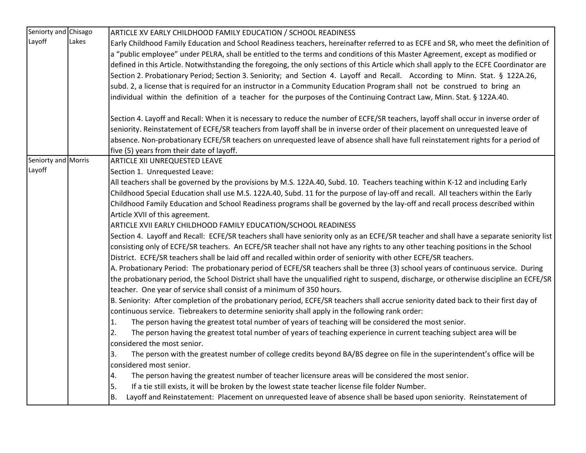| Seniorty and Chisago |       | ARTICLE XV EARLY CHILDHOOD FAMILY EDUCATION / SCHOOL READINESS                                                                                                                                                                                                             |
|----------------------|-------|----------------------------------------------------------------------------------------------------------------------------------------------------------------------------------------------------------------------------------------------------------------------------|
| Layoff               | Lakes | Early Childhood Family Education and School Readiness teachers, hereinafter referred to as ECFE and SR, who meet the definition of                                                                                                                                         |
|                      |       | a "public employee" under PELRA, shall be entitled to the terms and conditions of this Master Agreement, except as modified or                                                                                                                                             |
|                      |       | defined in this Article. Notwithstanding the foregoing, the only sections of this Article which shall apply to the ECFE Coordinator are                                                                                                                                    |
|                      |       | Section 2. Probationary Period; Section 3. Seniority; and Section 4. Layoff and Recall. According to Minn. Stat. § 122A.26,                                                                                                                                                |
|                      |       | subd. 2, a license that is required for an instructor in a Community Education Program shall not be construed to bring an                                                                                                                                                  |
|                      |       | individual within the definition of a teacher for the purposes of the Continuing Contract Law, Minn. Stat. § 122A.40.                                                                                                                                                      |
|                      |       | Section 4. Layoff and Recall: When it is necessary to reduce the number of ECFE/SR teachers, layoff shall occur in inverse order of                                                                                                                                        |
|                      |       | seniority. Reinstatement of ECFE/SR teachers from layoff shall be in inverse order of their placement on unrequested leave of                                                                                                                                              |
|                      |       | absence. Non-probationary ECFE/SR teachers on unrequested leave of absence shall have full reinstatement rights for a period of                                                                                                                                            |
|                      |       | five (5) years from their date of layoff.                                                                                                                                                                                                                                  |
| Seniorty and Morris  |       | <b>ARTICLE XII UNREQUESTED LEAVE</b>                                                                                                                                                                                                                                       |
| Layoff               |       | Section 1. Unrequested Leave:                                                                                                                                                                                                                                              |
|                      |       | All teachers shall be governed by the provisions by M.S. 122A.40, Subd. 10. Teachers teaching within K-12 and including Early                                                                                                                                              |
|                      |       | Childhood Special Education shall use M.S. 122A.40, Subd. 11 for the purpose of lay-off and recall. All teachers within the Early                                                                                                                                          |
|                      |       | Childhood Family Education and School Readiness programs shall be governed by the lay-off and recall process described within                                                                                                                                              |
|                      |       | Article XVII of this agreement.                                                                                                                                                                                                                                            |
|                      |       | ARTICLE XVII EARLY CHILDHOOD FAMILY EDUCATION/SCHOOL READINESS                                                                                                                                                                                                             |
|                      |       | Section 4. Layoff and Recall: ECFE/SR teachers shall have seniority only as an ECFE/SR teacher and shall have a separate seniority list<br>consisting only of ECFE/SR teachers. An ECFE/SR teacher shall not have any rights to any other teaching positions in the School |
|                      |       | District. ECFE/SR teachers shall be laid off and recalled within order of seniority with other ECFE/SR teachers.                                                                                                                                                           |
|                      |       | A. Probationary Period: The probationary period of ECFE/SR teachers shall be three (3) school years of continuous service. During                                                                                                                                          |
|                      |       | the probationary period, the School District shall have the unqualified right to suspend, discharge, or otherwise discipline an ECFE/SR<br>teacher. One year of service shall consist of a minimum of 350 hours.                                                           |
|                      |       | B. Seniority: After completion of the probationary period, ECFE/SR teachers shall accrue seniority dated back to their first day of                                                                                                                                        |
|                      |       | continuous service. Tiebreakers to determine seniority shall apply in the following rank order:                                                                                                                                                                            |
|                      |       | The person having the greatest total number of years of teaching will be considered the most senior.<br>1.                                                                                                                                                                 |
|                      |       | The person having the greatest total number of years of teaching experience in current teaching subject area will be<br>2.<br>considered the most senior.                                                                                                                  |
|                      |       | The person with the greatest number of college credits beyond BA/BS degree on file in the superintendent's office will be<br>3.                                                                                                                                            |
|                      |       | considered most senior.                                                                                                                                                                                                                                                    |
|                      |       | The person having the greatest number of teacher licensure areas will be considered the most senior.<br>4.                                                                                                                                                                 |
|                      |       | If a tie still exists, it will be broken by the lowest state teacher license file folder Number.<br>5.                                                                                                                                                                     |
|                      |       | B.<br>Layoff and Reinstatement: Placement on unrequested leave of absence shall be based upon seniority. Reinstatement of                                                                                                                                                  |
|                      |       |                                                                                                                                                                                                                                                                            |